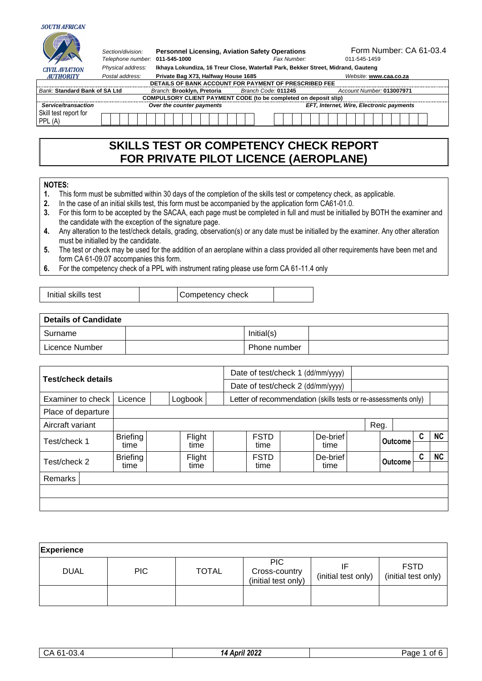#### **SOUTH AFRICAN**  $\begin{array}{c} \hline \end{array}$

|                                 | Section/division:<br>Telephone number: 011-545-1000 | <b>Personnel Licensing, Aviation Safety Operations</b>                            |                     | Fax Number: | Form Number: CA 61-03.4<br>011-545-1459  |
|---------------------------------|-----------------------------------------------------|-----------------------------------------------------------------------------------|---------------------|-------------|------------------------------------------|
| <b>CIVIL AVIATION</b>           | Physical address:                                   | Ikhaya Lokundiza, 16 Treur Close, Waterfall Park, Bekker Street, Midrand, Gauteng |                     |             |                                          |
| <b>AUTHORITY</b>                | Postal address:                                     | Private Bag X73, Halfway House 1685                                               |                     |             | Website: www.caa.co.za                   |
|                                 |                                                     | DETAILS OF BANK ACCOUNT FOR PAYMENT OF PRESCRIBED FEE                             |                     |             |                                          |
| Bank: Standard Bank of SA Ltd   |                                                     | Branch: Brooklyn, Pretoria                                                        | Branch Code: 011245 |             | Account Number: 013007971                |
|                                 |                                                     | COMPULSORY CLIENT PAYMENT CODE (to be completed on deposit slip)                  |                     |             |                                          |
| Service/transaction             |                                                     | Over the counter payments                                                         |                     |             | EFT, Internet, Wire, Electronic payments |
| Skill test report for<br>PPL(A) |                                                     |                                                                                   |                     |             |                                          |

## **SKILLS TEST OR COMPETENCY CHECK REPORT FOR PRIVATE PILOT LICENCE (AEROPLANE)**

### **NOTES:**

- **1.** This form must be submitted within 30 days of the completion of the skills test or competency check, as applicable.
- **2.** In the case of an initial skills test, this form must be accompanied by the application form CA61-01.0.
- **3.** For this form to be accepted by the SACAA, each page must be completed in full and must be initialled by BOTH the examiner and the candidate with the exception of the signature page.
- **4.** Any alteration to the test/check details, grading, observation(s) or any date must be initialled by the examiner. Any other alteration must be initialled by the candidate.
- **5.** The test or check may be used for the addition of an aeroplane within a class provided all other requirements have been met and form CA 61-09.07 accompanies this form.
- **6.** For the competency check of a PPL with instrument rating please use form CA 61-11.4 only

| Initial skills test<br>Competency check |
|-----------------------------------------|
|-----------------------------------------|

| Details of Candidate |  |              |  |  |  |  |  |  |  |
|----------------------|--|--------------|--|--|--|--|--|--|--|
| Surname              |  | Initial(s)   |  |  |  |  |  |  |  |
| Licence Number       |  | Phone number |  |  |  |  |  |  |  |

| <b>Test/check details</b>               | Date of test/check 1 (dd/mm/yyyy) |                                   |                |  |  |                     |  |                                                                |  |      |                |                     |   |           |
|-----------------------------------------|-----------------------------------|-----------------------------------|----------------|--|--|---------------------|--|----------------------------------------------------------------|--|------|----------------|---------------------|---|-----------|
|                                         |                                   | Date of test/check 2 (dd/mm/yyyy) |                |  |  |                     |  |                                                                |  |      |                |                     |   |           |
| Logbook<br>Examiner to check<br>Licence |                                   |                                   |                |  |  |                     |  | Letter of recommendation (skills tests or re-assessments only) |  |      |                |                     |   |           |
| Place of departure                      |                                   |                                   |                |  |  |                     |  |                                                                |  |      |                |                     |   |           |
| Aircraft variant                        |                                   |                                   |                |  |  |                     |  |                                                                |  | Reg. |                |                     |   |           |
| Test/check 1                            | <b>Briefing</b><br>time           |                                   | Flight<br>time |  |  | <b>FSTD</b><br>time |  | De-brief<br>time                                               |  |      |                | C<br><b>Outcome</b> |   | <b>NC</b> |
| Test/check 2                            | <b>Briefing</b><br>time           |                                   | Flight<br>time |  |  | <b>FSTD</b><br>time |  | De-brief<br>time                                               |  |      | <b>Outcome</b> |                     | C | <b>NC</b> |
| <b>Remarks</b>                          |                                   |                                   |                |  |  |                     |  |                                                                |  |      |                |                     |   |           |
|                                         |                                   |                                   |                |  |  |                     |  |                                                                |  |      |                |                     |   |           |
|                                         |                                   |                                   |                |  |  |                     |  |                                                                |  |      |                |                     |   |           |

| <b>Experience</b> |            |              |                                                    |                     |                                    |  |  |  |  |  |  |  |  |  |
|-------------------|------------|--------------|----------------------------------------------------|---------------------|------------------------------------|--|--|--|--|--|--|--|--|--|
| <b>DUAL</b>       | <b>PIC</b> | <b>TOTAL</b> | <b>PIC</b><br>Cross-country<br>(initial test only) | (initial test only) | <b>FSTD</b><br>(initial test only) |  |  |  |  |  |  |  |  |  |
|                   |            |              |                                                    |                     |                                    |  |  |  |  |  |  |  |  |  |

| $\sim$<br>$\sim$<br>$\cdot$ $\sim$<br>◡<br>ാ. പ<br>$\cdot$ . | 2022<br>Anvil<br>. Т. Л | Page<br>Ωt |
|--------------------------------------------------------------|-------------------------|------------|
|                                                              |                         |            |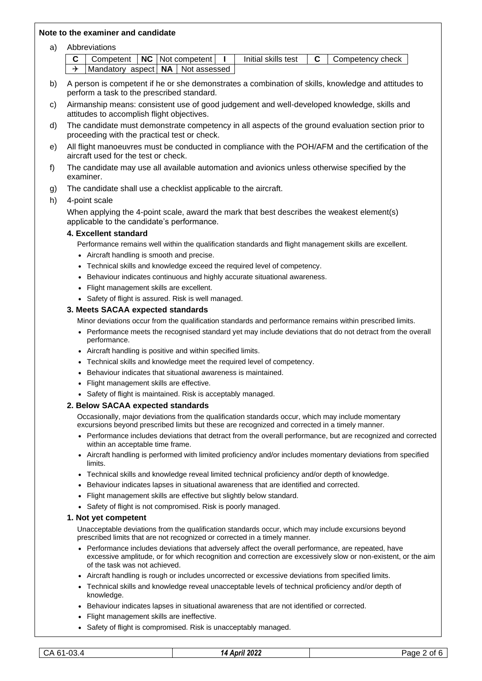### **Note to the examiner and candidate**

a) Abbreviations

|                                                     |  |  |  |  | <b>C</b> Competent $\vert$ <b>NC</b> $\vert$ Not competent $\vert$ I $\vert$ Initial skills test $\vert$ <b>C</b> $\vert$ Competency check |
|-----------------------------------------------------|--|--|--|--|--------------------------------------------------------------------------------------------------------------------------------------------|
| $\rightarrow$  Mandatory aspect   NA   Not assessed |  |  |  |  |                                                                                                                                            |

- b) A person is competent if he or she demonstrates a combination of skills, knowledge and attitudes to perform a task to the prescribed standard.
- c) Airmanship means: consistent use of good judgement and well-developed knowledge, skills and attitudes to accomplish flight objectives.
- d) The candidate must demonstrate competency in all aspects of the ground evaluation section prior to proceeding with the practical test or check.
- e) All flight manoeuvres must be conducted in compliance with the POH/AFM and the certification of the aircraft used for the test or check.
- f) The candidate may use all available automation and avionics unless otherwise specified by the examiner.
- g) The candidate shall use a checklist applicable to the aircraft.

### h) 4-point scale

When applying the 4-point scale, award the mark that best describes the weakest element(s) applicable to the candidate's performance.

### **4. Excellent standard**

Performance remains well within the qualification standards and flight management skills are excellent.

- Aircraft handling is smooth and precise.
- Technical skills and knowledge exceed the required level of competency.
- Behaviour indicates continuous and highly accurate situational awareness.
- Flight management skills are excellent.
- Safety of flight is assured. Risk is well managed.

### **3. Meets SACAA expected standards**

Minor deviations occur from the qualification standards and performance remains within prescribed limits.

- Performance meets the recognised standard vet may include deviations that do not detract from the overall performance.
- Aircraft handling is positive and within specified limits.
- Technical skills and knowledge meet the required level of competency.
- Behaviour indicates that situational awareness is maintained.
- Flight management skills are effective.
- Safety of flight is maintained. Risk is acceptably managed.

### **2. Below SACAA expected standards**

Occasionally, major deviations from the qualification standards occur, which may include momentary excursions beyond prescribed limits but these are recognized and corrected in a timely manner.

- Performance includes deviations that detract from the overall performance, but are recognized and corrected within an acceptable time frame.
- Aircraft handling is performed with limited proficiency and/or includes momentary deviations from specified limits.
- Technical skills and knowledge reveal limited technical proficiency and/or depth of knowledge.
- Behaviour indicates lapses in situational awareness that are identified and corrected.
- Flight management skills are effective but slightly below standard.
- Safety of flight is not compromised. Risk is poorly managed.

### **1. Not yet competent**

Unacceptable deviations from the qualification standards occur, which may include excursions beyond prescribed limits that are not recognized or corrected in a timely manner.

- Performance includes deviations that adversely affect the overall performance, are repeated, have excessive amplitude, or for which recognition and correction are excessively slow or non-existent, or the aim of the task was not achieved.
- Aircraft handling is rough or includes uncorrected or excessive deviations from specified limits.
- Technical skills and knowledge reveal unacceptable levels of technical proficiency and/or depth of knowledge.
- Behaviour indicates lapses in situational awareness that are not identified or corrected.
- Flight management skills are ineffective.
- Safety of flight is compromised. Risk is unacceptably managed.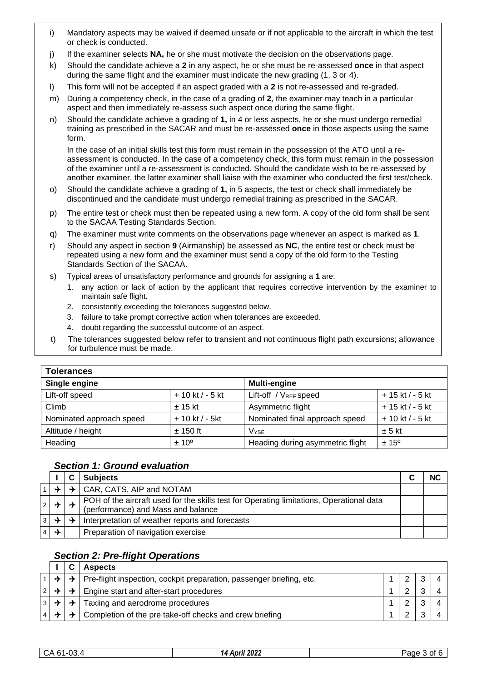- i) Mandatory aspects may be waived if deemed unsafe or if not applicable to the aircraft in which the test or check is conducted.
- j) If the examiner selects **NA,** he or she must motivate the decision on the observations page.
- k) Should the candidate achieve a **2** in any aspect, he or she must be re-assessed **once** in that aspect during the same flight and the examiner must indicate the new grading (1, 3 or 4).
- l) This form will not be accepted if an aspect graded with a **2** is not re-assessed and re-graded.
- m) During a competency check, in the case of a grading of **2**, the examiner may teach in a particular aspect and then immediately re-assess such aspect once during the same flight.
- n) Should the candidate achieve a grading of **1,** in 4 or less aspects, he or she must undergo remedial training as prescribed in the SACAR and must be re-assessed **once** in those aspects using the same form.

In the case of an initial skills test this form must remain in the possession of the ATO until a reassessment is conducted. In the case of a competency check, this form must remain in the possession of the examiner until a re-assessment is conducted. Should the candidate wish to be re-assessed by another examiner, the latter examiner shall liaise with the examiner who conducted the first test/check.

- o) Should the candidate achieve a grading of **1,** in 5 aspects, the test or check shall immediately be discontinued and the candidate must undergo remedial training as prescribed in the SACAR.
- p) The entire test or check must then be repeated using a new form. A copy of the old form shall be sent to the SACAA Testing Standards Section.
- q) The examiner must write comments on the observations page whenever an aspect is marked as **1**.
- r) Should any aspect in section **9** (Airmanship) be assessed as **NC**, the entire test or check must be repeated using a new form and the examiner must send a copy of the old form to the Testing Standards Section of the SACAA.
- s) Typical areas of unsatisfactory performance and grounds for assigning a **1** are:
	- 1. any action or lack of action by the applicant that requires corrective intervention by the examiner to maintain safe flight.
	- 2. consistently exceeding the tolerances suggested below.
	- 3. failure to take prompt corrective action when tolerances are exceeded.
	- 4. doubt regarding the successful outcome of an aspect.
- t) The tolerances suggested below refer to transient and not continuous flight path excursions; allowance for turbulence must be made.

| <b>Tolerances</b>        |                    |                                   |                   |  |  |  |  |  |  |
|--------------------------|--------------------|-----------------------------------|-------------------|--|--|--|--|--|--|
| Single engine            |                    | <b>Multi-engine</b>               |                   |  |  |  |  |  |  |
| Lift-off speed           | $+10$ kt $/ -5$ kt | Lift-off / V <sub>REF</sub> speed | $+15$ kt / - 5 kt |  |  |  |  |  |  |
| Climb                    | $\pm$ 15 kt        | Asymmetric flight                 | $+15$ kt / - 5 kt |  |  |  |  |  |  |
| Nominated approach speed | $+10$ kt / - 5kt   | Nominated final approach speed    | + 10 kt / - 5 kt  |  |  |  |  |  |  |
| Altitude / height        | $\pm$ 150 ft       | <b>V</b> <sub>YSE</sub>           | $± 5$ kt          |  |  |  |  |  |  |
| Heading                  | $± 10^{\circ}$     | Heading during asymmetric flight  | $± 15^{\circ}$    |  |  |  |  |  |  |

## *Section 1: Ground evaluation*

|   |               | <b>Subjects</b>                                                                                                                |  |
|---|---------------|--------------------------------------------------------------------------------------------------------------------------------|--|
|   |               | $\rightarrow$ CAR, CATS, AIP and NOTAM                                                                                         |  |
|   |               | POH of the aircraft used for the skills test for Operating limitations, Operational data<br>(performance) and Mass and balance |  |
|   | $\rightarrow$ | Interpretation of weather reports and forecasts                                                                                |  |
| ∱ |               | Preparation of navigation exercise                                                                                             |  |

### *Section 2: Pre-flight Operations* **I C Aspects**

|  | ASDECIS                                                                                              |  |  |
|--|------------------------------------------------------------------------------------------------------|--|--|
|  | $\rightarrow$   $\rightarrow$   Pre-flight inspection, cockpit preparation, passenger briefing, etc. |  |  |
|  | $\forall$ $\forall$   $\forall$   Engine start and after-start procedures                            |  |  |
|  | $\rightarrow$ Taxiing and aerodrome procedures                                                       |  |  |
|  | $\rightarrow$   Completion of the pre take-off checks and crew briefing                              |  |  |

| $\sim$<br>r<br>э.<br>$\mathbf{v}$<br>. .<br>ັບ≓<br>∪J. | 2022<br>Anril<br>14<br>. AVI' | Page<br>ΩŤ |
|--------------------------------------------------------|-------------------------------|------------|
|                                                        |                               |            |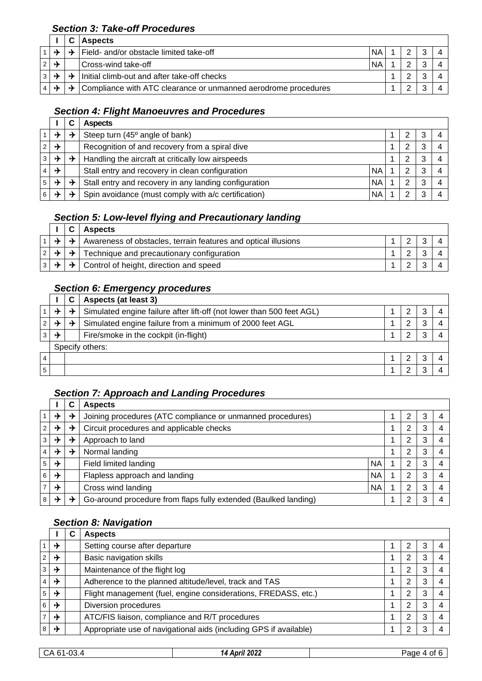## *Section 3: Take-off Procedures*

|                 |                 |               | <b>Aspects</b>                                                 |           |  |   |  |
|-----------------|-----------------|---------------|----------------------------------------------------------------|-----------|--|---|--|
|                 | $\rightarrow$   | ┶             | Field- and/or obstacle limited take-off                        | <b>NA</b> |  | ີ |  |
| $2 \rightarrow$ |                 |               | Cross-wind take-off                                            | <b>NA</b> |  |   |  |
|                 | $3 \rightarrow$ |               | Initial climb-out and after take-off checks                    |           |  |   |  |
|                 | $4 \rightarrow$ | $\rightarrow$ | Compliance with ATC clearance or unmanned aerodrome procedures |           |  |   |  |

## *Section 4: Flight Manoeuvres and Procedures*

|                |   |   | <b>Aspects</b>                                        |           |  |  |   |  |
|----------------|---|---|-------------------------------------------------------|-----------|--|--|---|--|
|                | ∱ | ⊁ | Steep turn (45° angle of bank)                        |           |  |  |   |  |
| $\overline{2}$ | → |   | Recognition of and recovery from a spiral dive        |           |  |  |   |  |
| 3 <sup>1</sup> | ✦ | ⊁ | Handling the aircraft at critically low airspeeds     |           |  |  |   |  |
|                | → |   | Stall entry and recovery in clean configuration       | <b>NA</b> |  |  | ົ |  |
| 5 <sup>1</sup> | 山 | ⊁ | Stall entry and recovery in any landing configuration | <b>NA</b> |  |  |   |  |
|                |   |   | Spin avoidance (must comply with a/c certification)   | <b>NA</b> |  |  |   |  |

## *Section 5: Low-level flying and Precautionary landing*

|  |               | <b>Aspects</b>                                                 |  |  |
|--|---------------|----------------------------------------------------------------|--|--|
|  | $\rightarrow$ | Awareness of obstacles, terrain features and optical illusions |  |  |
|  |               | Technique and precautionary configuration                      |  |  |
|  | ⊁             | Control of height, direction and speed                         |  |  |

# *Section 6: Emergency procedures*

|   |                                                                            | Aspects (at least 3)                  |  |  |  |  |
|---|----------------------------------------------------------------------------|---------------------------------------|--|--|--|--|
| ⊁ | Simulated engine failure after lift-off (not lower than 500 feet AGL)<br>⊁ |                                       |  |  |  |  |
|   | Simulated engine failure from a minimum of 2000 feet AGL<br>⊁              |                                       |  |  |  |  |
| → |                                                                            | Fire/smoke in the cockpit (in-flight) |  |  |  |  |
|   |                                                                            | Specify others:                       |  |  |  |  |
|   |                                                                            |                                       |  |  |  |  |
|   |                                                                            |                                       |  |  |  |  |

## *Section 7: Approach and Landing Procedures*

|                |               |   | <b>Aspects</b>                                                  |           |  |   |   |  |
|----------------|---------------|---|-----------------------------------------------------------------|-----------|--|---|---|--|
|                | ⊁             | ⊁ | Joining procedures (ATC compliance or unmanned procedures)      |           |  | 3 |   |  |
| $2^{\circ}$    | ⊁             | ⊁ | Circuit procedures and applicable checks                        |           |  |   | 3 |  |
| 3 <sup>1</sup> | ⊁             | ⊁ | Approach to land                                                |           |  |   | 3 |  |
| $\vert$ 4      | →             | ⊁ | Normal landing                                                  |           |  | າ | 3 |  |
| 5 <sup>1</sup> | $\rightarrow$ |   | Field limited landing                                           | <b>NA</b> |  | າ | 3 |  |
| $6 \mid$       | $\rightarrow$ |   | Flapless approach and landing                                   | <b>NA</b> |  | າ | 3 |  |
| 7 <sup>1</sup> | →             |   | Cross wind landing                                              | <b>NA</b> |  | າ | 3 |  |
| 8              |               | ⊁ | Go-around procedure from flaps fully extended (Baulked landing) |           |  | າ | 3 |  |

## *Section 8: Navigation*

|                |               | C | <b>Aspects</b>                                                    |   |   |  |
|----------------|---------------|---|-------------------------------------------------------------------|---|---|--|
|                | ⊁             |   | Setting course after departure                                    |   | 3 |  |
| $\overline{2}$ | ⊁             |   | Basic navigation skills                                           | 2 | 3 |  |
| 3              | →             |   | Maintenance of the flight log                                     | 2 | 3 |  |
| $\overline{4}$ | $\rightarrow$ |   | Adherence to the planned altitude/level, track and TAS            | 2 | 3 |  |
| 5              | →             |   | Flight management (fuel, engine considerations, FREDASS, etc.)    | 2 | 3 |  |
| 6              | →             |   | Diversion procedures                                              | 2 | 3 |  |
| $\overline{7}$ | ⊁             |   | ATC/FIS liaison, compliance and R/T procedures                    | 2 | 3 |  |
| 8              | →             |   | Appropriate use of navigational aids (including GPS if available) | ົ | 3 |  |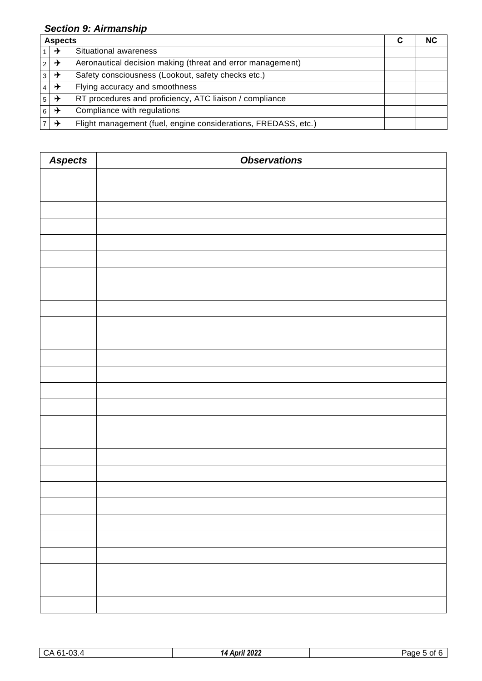## *Section 9: Airmanship*

|                | <b>Aspects</b>       |                                                                |  |  |
|----------------|----------------------|----------------------------------------------------------------|--|--|
| 1 <sup>1</sup> | →                    | Situational awareness                                          |  |  |
|                | $ _2 $ $\rightarrow$ | Aeronautical decision making (threat and error management)     |  |  |
|                | $ _3 +$              | Safety consciousness (Lookout, safety checks etc.)             |  |  |
|                | $ 4  \rightarrow$    | Flying accuracy and smoothness                                 |  |  |
|                | $ _5 $ $\rightarrow$ | RT procedures and proficiency, ATC liaison / compliance        |  |  |
| 6 <sup>1</sup> | ⊶ (                  | Compliance with regulations                                    |  |  |
| $\overline{7}$ | →                    | Flight management (fuel, engine considerations, FREDASS, etc.) |  |  |

| <b>Aspects</b> | <b>Observations</b> |
|----------------|---------------------|
|                |                     |
|                |                     |
|                |                     |
|                |                     |
|                |                     |
|                |                     |
|                |                     |
|                |                     |
|                |                     |
|                |                     |
|                |                     |
|                |                     |
|                |                     |
|                |                     |
|                |                     |
|                |                     |
|                |                     |
|                |                     |
|                |                     |
|                |                     |
|                |                     |
|                |                     |
|                |                     |
|                |                     |
|                |                     |
|                |                     |
|                |                     |